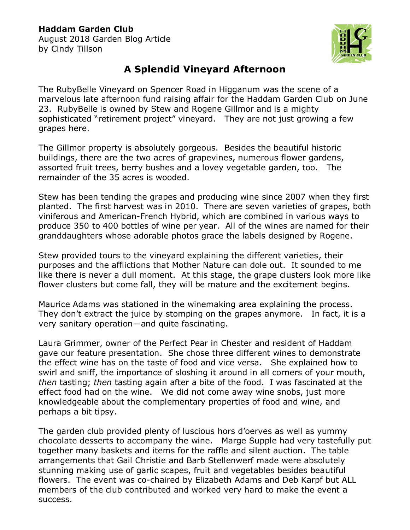## **Haddam Garden Club**

August 2018 Garden Blog Article by Cindy Tillson



## **A Splendid Vineyard Afternoon**

The RubyBelle Vineyard on Spencer Road in Higganum was the scene of a marvelous late afternoon fund raising affair for the Haddam Garden Club on June 23. RubyBelle is owned by Stew and Rogene Gillmor and is a mighty sophisticated "retirement project" vineyard. They are not just growing a few grapes here.

The Gillmor property is absolutely gorgeous. Besides the beautiful historic buildings, there are the two acres of grapevines, numerous flower gardens, assorted fruit trees, berry bushes and a lovey vegetable garden, too. The remainder of the 35 acres is wooded.

Stew has been tending the grapes and producing wine since 2007 when they first planted. The first harvest was in 2010. There are seven varieties of grapes, both viniferous and American-French Hybrid, which are combined in various ways to produce 350 to 400 bottles of wine per year. All of the wines are named for their granddaughters whose adorable photos grace the labels designed by Rogene.

Stew provided tours to the vineyard explaining the different varieties, their purposes and the afflictions that Mother Nature can dole out. It sounded to me like there is never a dull moment. At this stage, the grape clusters look more like flower clusters but come fall, they will be mature and the excitement begins.

Maurice Adams was stationed in the winemaking area explaining the process. They don't extract the juice by stomping on the grapes anymore. In fact, it is a very sanitary operation—and quite fascinating.

Laura Grimmer, owner of the Perfect Pear in Chester and resident of Haddam gave our feature presentation. She chose three different wines to demonstrate the effect wine has on the taste of food and vice versa. She explained how to swirl and sniff, the importance of sloshing it around in all corners of your mouth, *then* tasting; *then* tasting again after a bite of the food. I was fascinated at the effect food had on the wine. We did not come away wine snobs, just more knowledgeable about the complementary properties of food and wine, and perhaps a bit tipsy.

The garden club provided plenty of luscious hors d'oerves as well as yummy chocolate desserts to accompany the wine. Marge Supple had very tastefully put together many baskets and items for the raffle and silent auction. The table arrangements that Gail Christie and Barb Stellenwerf made were absolutely stunning making use of garlic scapes, fruit and vegetables besides beautiful flowers. The event was co-chaired by Elizabeth Adams and Deb Karpf but ALL members of the club contributed and worked very hard to make the event a success.